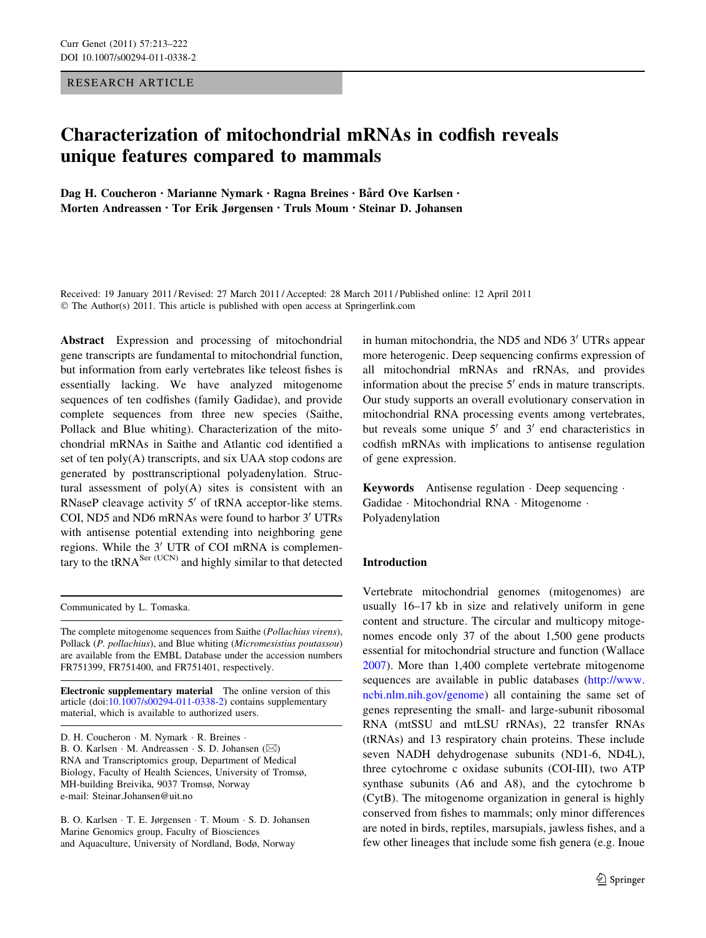RESEARCH ARTICLE

# Characterization of mitochondrial mRNAs in codfish reveals unique features compared to mammals

Dag H. Coucheron · Marianne Nymark · Ragna Breines · Bård Ove Karlsen · Morten Andreassen • Tor Erik Jørgensen • Truls Moum • Steinar D. Johansen

Received: 19 January 2011 / Revised: 27 March 2011 / Accepted: 28 March 2011 / Published online: 12 April 2011 © The Author(s) 2011. This article is published with open access at Springerlink.com

Abstract Expression and processing of mitochondrial gene transcripts are fundamental to mitochondrial function, but information from early vertebrates like teleost fishes is essentially lacking. We have analyzed mitogenome sequences of ten codfishes (family Gadidae), and provide complete sequences from three new species (Saithe, Pollack and Blue whiting). Characterization of the mitochondrial mRNAs in Saithe and Atlantic cod identified a set of ten poly(A) transcripts, and six UAA stop codons are generated by posttranscriptional polyadenylation. Structural assessment of  $poly(A)$  sites is consistent with an RNaseP cleavage activity  $5'$  of tRNA acceptor-like stems. COI, ND5 and ND6 mRNAs were found to harbor 3' UTRs with antisense potential extending into neighboring gene regions. While the 3' UTR of COI mRNA is complementary to the tRNA<sup>Ser (UCN)</sup> and highly similar to that detected

Communicated by L. Tomaska.

The complete mitogenome sequences from Saithe (Pollachius virens), Pollack (P. pollachius), and Blue whiting (Micromesistius poutassou) are available from the EMBL Database under the accession numbers FR751399, FR751400, and FR751401, respectively.

Electronic supplementary material The online version of this article (doi:[10.1007/s00294-011-0338-2\)](http://dx.doi.org/10.1007/s00294-011-0338-2) contains supplementary material, which is available to authorized users.

D. H. Coucheron · M. Nymark · R. Breines · B. O. Karlsen  $\cdot$  M. Andreassen  $\cdot$  S. D. Johansen ( $\boxtimes$ ) RNA and Transcriptomics group, Department of Medical Biology, Faculty of Health Sciences, University of Tromsø, MH-building Breivika, 9037 Tromsø, Norway e-mail: Steinar.Johansen@uit.no

B. O. Karlsen · T. E. Jørgensen · T. Moum · S. D. Johansen Marine Genomics group, Faculty of Biosciences and Aquaculture, University of Nordland, Bodø, Norway

in human mitochondria, the ND5 and ND6  $3'$  UTRs appear more heterogenic. Deep sequencing confirms expression of all mitochondrial mRNAs and rRNAs, and provides information about the precise  $5'$  ends in mature transcripts. Our study supports an overall evolutionary conservation in mitochondrial RNA processing events among vertebrates, but reveals some unique  $5'$  and  $3'$  end characteristics in codfish mRNAs with implications to antisense regulation of gene expression.

Keywords Antisense regulation - Deep sequencing - Gadidae · Mitochondrial RNA · Mitogenome · Polyadenylation

## Introduction

Vertebrate mitochondrial genomes (mitogenomes) are usually 16–17 kb in size and relatively uniform in gene content and structure. The circular and multicopy mitogenomes encode only 37 of the about 1,500 gene products essential for mitochondrial structure and function (Wallace [2007](#page-9-0)). More than 1,400 complete vertebrate mitogenome sequences are available in public databases [\(http://www.](http://www.ncbi.nlm.nih.gov/genome) [ncbi.nlm.nih.gov/genome\)](http://www.ncbi.nlm.nih.gov/genome) all containing the same set of genes representing the small- and large-subunit ribosomal RNA (mtSSU and mtLSU rRNAs), 22 transfer RNAs (tRNAs) and 13 respiratory chain proteins. These include seven NADH dehydrogenase subunits (ND1-6, ND4L), three cytochrome c oxidase subunits (COI-III), two ATP synthase subunits (A6 and A8), and the cytochrome b (CytB). The mitogenome organization in general is highly conserved from fishes to mammals; only minor differences are noted in birds, reptiles, marsupials, jawless fishes, and a few other lineages that include some fish genera (e.g. Inoue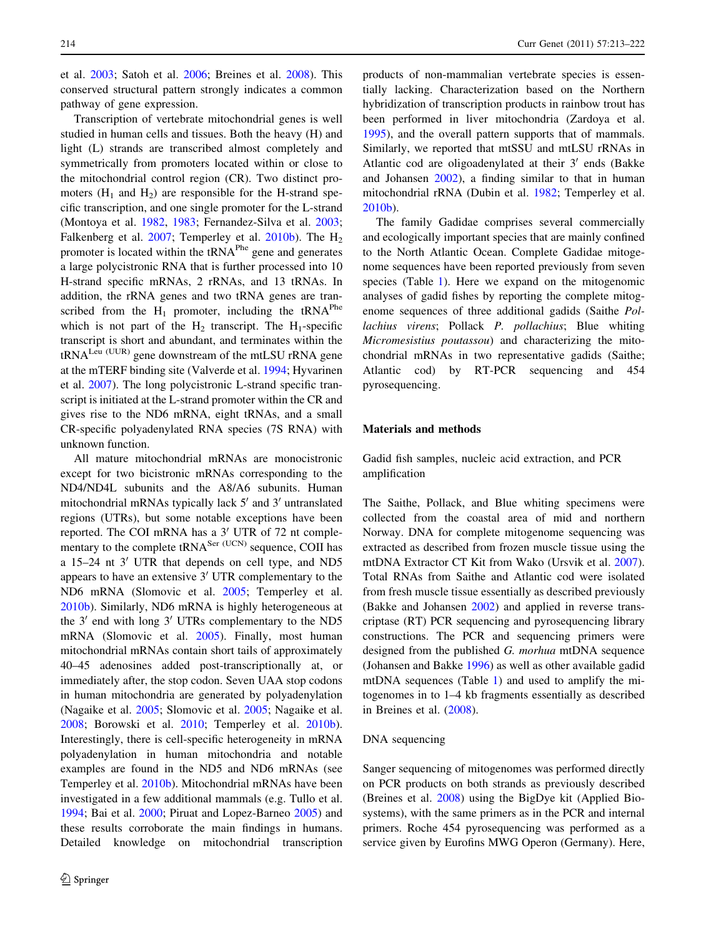<span id="page-1-0"></span>et al. [2003](#page-8-0); Satoh et al. [2006;](#page-9-0) Breines et al. [2008](#page-8-0)). This conserved structural pattern strongly indicates a common pathway of gene expression.

Transcription of vertebrate mitochondrial genes is well studied in human cells and tissues. Both the heavy (H) and light (L) strands are transcribed almost completely and symmetrically from promoters located within or close to the mitochondrial control region (CR). Two distinct promoters  $(H_1$  and  $H_2)$  are responsible for the H-strand specific transcription, and one single promoter for the L-strand (Montoya et al. [1982](#page-8-0), [1983](#page-8-0); Fernandez-Silva et al. [2003](#page-8-0); Falkenberg et al.  $2007$ ; Temperley et al.  $2010b$ ). The  $H_2$ promoter is located within the tRNA<sup>Phe</sup> gene and generates a large polycistronic RNA that is further processed into 10 H-strand specific mRNAs, 2 rRNAs, and 13 tRNAs. In addition, the rRNA genes and two tRNA genes are transcribed from the  $H_1$  promoter, including the tRNA<sup>Phe</sup> which is not part of the  $H_2$  transcript. The  $H_1$ -specific transcript is short and abundant, and terminates within the tRNALeu (UUR) gene downstream of the mtLSU rRNA gene at the mTERF binding site (Valverde et al. [1994;](#page-9-0) Hyvarinen et al. [2007\)](#page-8-0). The long polycistronic L-strand specific transcript is initiated at the L-strand promoter within the CR and gives rise to the ND6 mRNA, eight tRNAs, and a small CR-specific polyadenylated RNA species (7S RNA) with unknown function.

All mature mitochondrial mRNAs are monocistronic except for two bicistronic mRNAs corresponding to the ND4/ND4L subunits and the A8/A6 subunits. Human mitochondrial mRNAs typically lack  $5'$  and  $3'$  untranslated regions (UTRs), but some notable exceptions have been reported. The COI mRNA has a 3' UTR of 72 nt complementary to the complete tRNA<sup>Ser (UCN)</sup> sequence, COII has a  $15-24$  nt  $3'$  UTR that depends on cell type, and ND5 appears to have an extensive  $3'$  UTR complementary to the ND6 mRNA (Slomovic et al. [2005;](#page-9-0) Temperley et al. [2010b\)](#page-9-0). Similarly, ND6 mRNA is highly heterogeneous at the  $3'$  end with long  $3'$  UTRs complementary to the ND5 mRNA (Slomovic et al. [2005](#page-9-0)). Finally, most human mitochondrial mRNAs contain short tails of approximately 40–45 adenosines added post-transcriptionally at, or immediately after, the stop codon. Seven UAA stop codons in human mitochondria are generated by polyadenylation (Nagaike et al. [2005;](#page-8-0) Slomovic et al. [2005](#page-9-0); Nagaike et al. [2008;](#page-8-0) Borowski et al. [2010](#page-8-0); Temperley et al. [2010b](#page-9-0)). Interestingly, there is cell-specific heterogeneity in mRNA polyadenylation in human mitochondria and notable examples are found in the ND5 and ND6 mRNAs (see Temperley et al. [2010b\)](#page-9-0). Mitochondrial mRNAs have been investigated in a few additional mammals (e.g. Tullo et al. [1994;](#page-9-0) Bai et al. [2000](#page-8-0); Piruat and Lopez-Barneo [2005](#page-9-0)) and these results corroborate the main findings in humans. Detailed knowledge on mitochondrial transcription products of non-mammalian vertebrate species is essentially lacking. Characterization based on the Northern hybridization of transcription products in rainbow trout has been performed in liver mitochondria (Zardoya et al. [1995](#page-9-0)), and the overall pattern supports that of mammals. Similarly, we reported that mtSSU and mtLSU rRNAs in Atlantic cod are oligoadenylated at their  $3'$  ends (Bakke and Johansen [2002\)](#page-8-0), a finding similar to that in human mitochondrial rRNA (Dubin et al. [1982](#page-8-0); Temperley et al. [2010b](#page-9-0)).

The family Gadidae comprises several commercially and ecologically important species that are mainly confined to the North Atlantic Ocean. Complete Gadidae mitogenome sequences have been reported previously from seven species (Table [1](#page-2-0)). Here we expand on the mitogenomic analyses of gadid fishes by reporting the complete mitogenome sequences of three additional gadids (Saithe Pollachius virens; Pollack P. pollachius; Blue whiting Micromesistius poutassou) and characterizing the mitochondrial mRNAs in two representative gadids (Saithe; Atlantic cod) by RT-PCR sequencing and 454 pyrosequencing.

## Materials and methods

Gadid fish samples, nucleic acid extraction, and PCR amplification

The Saithe, Pollack, and Blue whiting specimens were collected from the coastal area of mid and northern Norway. DNA for complete mitogenome sequencing was extracted as described from frozen muscle tissue using the mtDNA Extractor CT Kit from Wako (Ursvik et al. [2007](#page-9-0)). Total RNAs from Saithe and Atlantic cod were isolated from fresh muscle tissue essentially as described previously (Bakke and Johansen [2002\)](#page-8-0) and applied in reverse transcriptase (RT) PCR sequencing and pyrosequencing library constructions. The PCR and sequencing primers were designed from the published G. morhua mtDNA sequence (Johansen and Bakke [1996](#page-8-0)) as well as other available gadid mtDNA sequences (Table [1\)](#page-2-0) and used to amplify the mitogenomes in to 1–4 kb fragments essentially as described in Breines et al. [\(2008](#page-8-0)).

#### DNA sequencing

Sanger sequencing of mitogenomes was performed directly on PCR products on both strands as previously described (Breines et al. [2008\)](#page-8-0) using the BigDye kit (Applied Biosystems), with the same primers as in the PCR and internal primers. Roche 454 pyrosequencing was performed as a service given by Eurofins MWG Operon (Germany). Here,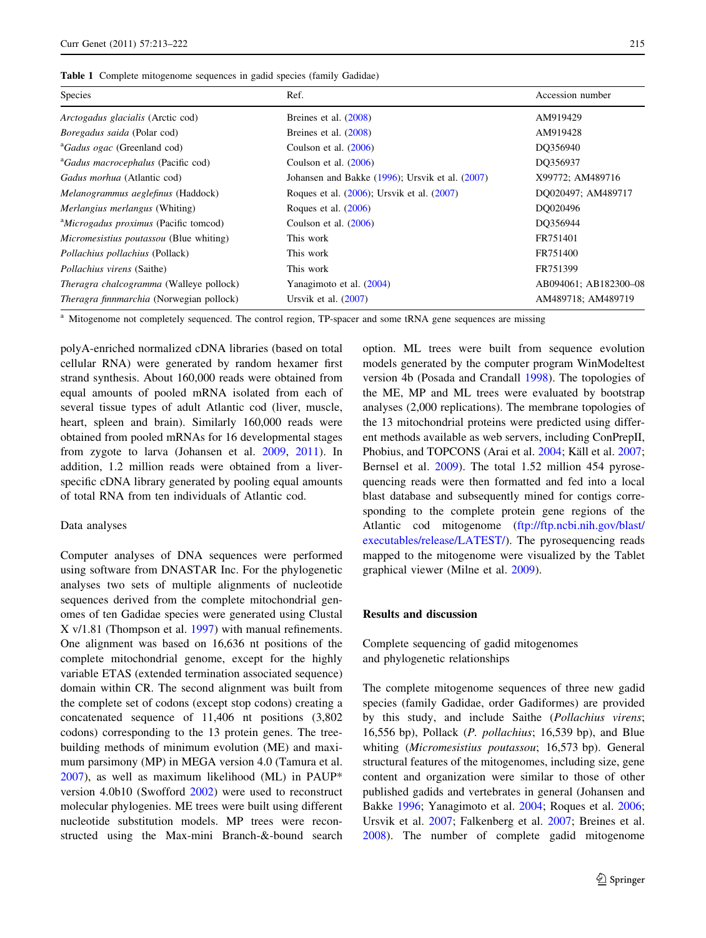<span id="page-2-0"></span>

|  |  | Table 1 Complete mitogenome sequences in gadid species (family Gadidae) |  |  |  |  |  |  |
|--|--|-------------------------------------------------------------------------|--|--|--|--|--|--|
|--|--|-------------------------------------------------------------------------|--|--|--|--|--|--|

| Species                                           | Ref.                                            | Accession number      |  |  |
|---------------------------------------------------|-------------------------------------------------|-----------------------|--|--|
| <i>Arctogadus glacialis</i> (Arctic cod)          | Breines et al. (2008)                           | AM919429              |  |  |
| <i>Boregadus saida</i> (Polar cod)                | Breines et al. (2008)                           | AM919428              |  |  |
| <sup>a</sup> Gadus ogac (Greenland cod)           | Coulson et al. $(2006)$                         | DO356940              |  |  |
| <sup>a</sup> Gadus macrocephalus (Pacific cod)    | Coulson et al. $(2006)$                         | DO356937              |  |  |
| Gadus morhua (Atlantic cod)                       | Johansen and Bakke (1996); Ursvik et al. (2007) | X99772; AM489716      |  |  |
| Melanogrammus aeglefinus (Haddock)                | Roques et al. $(2006)$ ; Ursvik et al. $(2007)$ | DO020497; AM489717    |  |  |
| <i>Merlangius merlangus</i> (Whiting)             | Roques et al. $(2006)$                          | DO020496              |  |  |
| <sup>a</sup> Microgadus proximus (Pacific tomcod) | Coulson et al. $(2006)$                         | DO356944              |  |  |
| Micromesistius poutassou (Blue whiting)           | This work                                       | FR751401              |  |  |
| Pollachius pollachius (Pollack)                   | This work                                       | FR751400              |  |  |
| <i>Pollachius virens</i> (Saithe)                 | This work                                       | FR751399              |  |  |
| <i>Theragra chalcogramma</i> (Walleye pollock)    | Yanagimoto et al. (2004)                        | AB094061; AB182300-08 |  |  |
| <i>Theragra finnmarchia</i> (Norwegian pollock)   | Ursvik et al. $(2007)$                          | AM489718; AM489719    |  |  |
|                                                   |                                                 |                       |  |  |

<sup>a</sup> Mitogenome not completely sequenced. The control region, TP-spacer and some tRNA gene sequences are missing

polyA-enriched normalized cDNA libraries (based on total cellular RNA) were generated by random hexamer first strand synthesis. About 160,000 reads were obtained from equal amounts of pooled mRNA isolated from each of several tissue types of adult Atlantic cod (liver, muscle, heart, spleen and brain). Similarly 160,000 reads were obtained from pooled mRNAs for 16 developmental stages from zygote to larva (Johansen et al. [2009](#page-8-0), [2011](#page-8-0)). In addition, 1.2 million reads were obtained from a liverspecific cDNA library generated by pooling equal amounts of total RNA from ten individuals of Atlantic cod.

#### Data analyses

Computer analyses of DNA sequences were performed using software from DNASTAR Inc. For the phylogenetic analyses two sets of multiple alignments of nucleotide sequences derived from the complete mitochondrial genomes of ten Gadidae species were generated using Clustal X v/1.81 (Thompson et al. [1997\)](#page-9-0) with manual refinements. One alignment was based on 16,636 nt positions of the complete mitochondrial genome, except for the highly variable ETAS (extended termination associated sequence) domain within CR. The second alignment was built from the complete set of codons (except stop codons) creating a concatenated sequence of 11,406 nt positions (3,802 codons) corresponding to the 13 protein genes. The treebuilding methods of minimum evolution (ME) and maximum parsimony (MP) in MEGA version 4.0 (Tamura et al. [2007\)](#page-9-0), as well as maximum likelihood (ML) in PAUP\* version 4.0b10 (Swofford [2002](#page-9-0)) were used to reconstruct molecular phylogenies. ME trees were built using different nucleotide substitution models. MP trees were reconstructed using the Max-mini Branch-&-bound search option. ML trees were built from sequence evolution models generated by the computer program WinModeltest version 4b (Posada and Crandall [1998\)](#page-9-0). The topologies of the ME, MP and ML trees were evaluated by bootstrap analyses (2,000 replications). The membrane topologies of the 13 mitochondrial proteins were predicted using different methods available as web servers, including ConPrepII, Phobius, and TOPCONS (Arai et al. [2004](#page-8-0); Käll et al. [2007](#page-8-0); Bernsel et al. [2009\)](#page-8-0). The total 1.52 million 454 pyrosequencing reads were then formatted and fed into a local blast database and subsequently mined for contigs corresponding to the complete protein gene regions of the Atlantic cod mitogenome ([ftp://ftp.ncbi.nih.gov/blast/](ftp://ftp.ncbi.nih.gov/blast/executables/release/LATEST/) [executables/release/LATEST/](ftp://ftp.ncbi.nih.gov/blast/executables/release/LATEST/)). The pyrosequencing reads mapped to the mitogenome were visualized by the Tablet graphical viewer (Milne et al. [2009\)](#page-8-0).

## Results and discussion

Complete sequencing of gadid mitogenomes and phylogenetic relationships

The complete mitogenome sequences of three new gadid species (family Gadidae, order Gadiformes) are provided by this study, and include Saithe (Pollachius virens; 16,556 bp), Pollack (P. pollachius; 16,539 bp), and Blue whiting (Micromesistius poutassou; 16,573 bp). General structural features of the mitogenomes, including size, gene content and organization were similar to those of other published gadids and vertebrates in general (Johansen and Bakke [1996](#page-8-0); Yanagimoto et al. [2004](#page-9-0); Roques et al. [2006](#page-9-0); Ursvik et al. [2007;](#page-9-0) Falkenberg et al. [2007](#page-8-0); Breines et al. [2008](#page-8-0)). The number of complete gadid mitogenome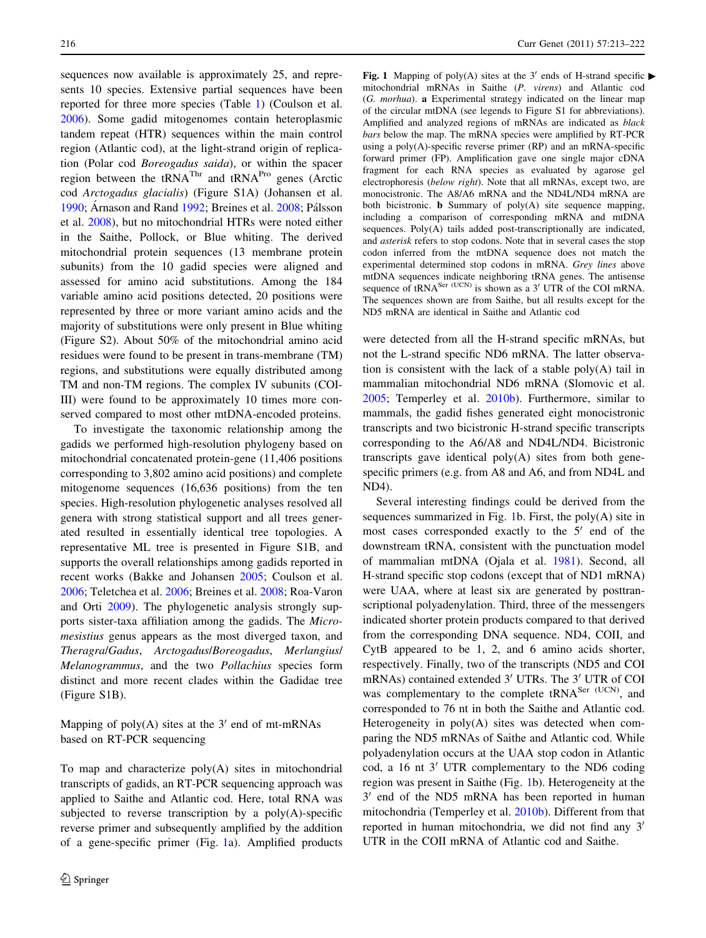<span id="page-3-0"></span>sequences now available is approximately 25, and represents 10 species. Extensive partial sequences have been reported for three more species (Table [1](#page-2-0)) (Coulson et al. [2006\)](#page-8-0). Some gadid mitogenomes contain heteroplasmic tandem repeat (HTR) sequences within the main control region (Atlantic cod), at the light-strand origin of replication (Polar cod Boreogadus saida), or within the spacer region between the  $tRNA^{Thr}$  and  $tRNA^{Pro}$  genes (Arctic cod Arctogadus glacialis) (Figure S1A) (Johansen et al. [1990;](#page-8-0) Árnason and Rand [1992](#page-8-0); Breines et al. [2008](#page-8-0); Pálsson et al. [2008](#page-9-0)), but no mitochondrial HTRs were noted either in the Saithe, Pollock, or Blue whiting. The derived mitochondrial protein sequences (13 membrane protein subunits) from the 10 gadid species were aligned and assessed for amino acid substitutions. Among the 184 variable amino acid positions detected, 20 positions were represented by three or more variant amino acids and the majority of substitutions were only present in Blue whiting (Figure S2). About 50% of the mitochondrial amino acid residues were found to be present in trans-membrane (TM) regions, and substitutions were equally distributed among TM and non-TM regions. The complex IV subunits (COI-III) were found to be approximately 10 times more conserved compared to most other mtDNA-encoded proteins.

To investigate the taxonomic relationship among the gadids we performed high-resolution phylogeny based on mitochondrial concatenated protein-gene (11,406 positions corresponding to 3,802 amino acid positions) and complete mitogenome sequences (16,636 positions) from the ten species. High-resolution phylogenetic analyses resolved all genera with strong statistical support and all trees generated resulted in essentially identical tree topologies. A representative ML tree is presented in Figure S1B, and supports the overall relationships among gadids reported in recent works (Bakke and Johansen [2005](#page-8-0); Coulson et al. [2006;](#page-8-0) Teletchea et al. [2006;](#page-9-0) Breines et al. [2008;](#page-8-0) Roa-Varon and Orti [2009\)](#page-9-0). The phylogenetic analysis strongly supports sister-taxa affiliation among the gadids. The Micromesistius genus appears as the most diverged taxon, and Theragra/Gadus, Arctogadus/Boreogadus, Merlangius/ Melanogrammus, and the two Pollachius species form distinct and more recent clades within the Gadidae tree (Figure S1B).

Mapping of poly $(A)$  sites at the 3<sup>'</sup> end of mt-mRNAs based on RT-PCR sequencing

To map and characterize poly(A) sites in mitochondrial transcripts of gadids, an RT-PCR sequencing approach was applied to Saithe and Atlantic cod. Here, total RNA was subjected to reverse transcription by a poly(A)-specific reverse primer and subsequently amplified by the addition of a gene-specific primer (Fig. 1a). Amplified products

Fig. 1 Mapping of poly(A) sites at the 3' ends of H-strand specific  $\blacktriangleright$ mitochondrial mRNAs in Saithe (P. virens) and Atlantic cod (G. morhua). a Experimental strategy indicated on the linear map of the circular mtDNA (see legends to Figure S1 for abbreviations). Amplified and analyzed regions of mRNAs are indicated as black bars below the map. The mRNA species were amplified by RT-PCR using a  $poly(A)$ -specific reverse primer (RP) and an mRNA-specific forward primer (FP). Amplification gave one single major cDNA fragment for each RNA species as evaluated by agarose gel electrophoresis (below right). Note that all mRNAs, except two, are monocistronic. The A8/A6 mRNA and the ND4L/ND4 mRNA are both bicistronic. b Summary of poly(A) site sequence mapping, including a comparison of corresponding mRNA and mtDNA sequences. Poly(A) tails added post-transcriptionally are indicated, and asterisk refers to stop codons. Note that in several cases the stop codon inferred from the mtDNA sequence does not match the experimental determined stop codons in mRNA. Grey lines above mtDNA sequences indicate neighboring tRNA genes. The antisense sequence of tRNA<sup>Ser (UCN)</sup> is shown as a 3' UTR of the COI mRNA. The sequences shown are from Saithe, but all results except for the ND5 mRNA are identical in Saithe and Atlantic cod

were detected from all the H-strand specific mRNAs, but not the L-strand specific ND6 mRNA. The latter observation is consistent with the lack of a stable poly(A) tail in mammalian mitochondrial ND6 mRNA (Slomovic et al. [2005](#page-9-0); Temperley et al. [2010b\)](#page-9-0). Furthermore, similar to mammals, the gadid fishes generated eight monocistronic transcripts and two bicistronic H-strand specific transcripts corresponding to the A6/A8 and ND4L/ND4. Bicistronic transcripts gave identical poly(A) sites from both genespecific primers (e.g. from A8 and A6, and from ND4L and ND4).

Several interesting findings could be derived from the sequences summarized in Fig. 1b. First, the  $poly(A)$  site in most cases corresponded exactly to the  $5'$  end of the downstream tRNA, consistent with the punctuation model of mammalian mtDNA (Ojala et al. [1981](#page-9-0)). Second, all H-strand specific stop codons (except that of ND1 mRNA) were UAA, where at least six are generated by posttranscriptional polyadenylation. Third, three of the messengers indicated shorter protein products compared to that derived from the corresponding DNA sequence. ND4, COII, and CytB appeared to be 1, 2, and 6 amino acids shorter, respectively. Finally, two of the transcripts (ND5 and COI mRNAs) contained extended 3' UTRs. The 3' UTR of COI was complementary to the complete tRNA<sup>Ser (UCN)</sup>, and corresponded to 76 nt in both the Saithe and Atlantic cod. Heterogeneity in poly(A) sites was detected when comparing the ND5 mRNAs of Saithe and Atlantic cod. While polyadenylation occurs at the UAA stop codon in Atlantic cod, a 16 nt  $3'$  UTR complementary to the ND6 coding region was present in Saithe (Fig. 1b). Heterogeneity at the  $3'$  end of the ND5 mRNA has been reported in human mitochondria (Temperley et al. [2010b](#page-9-0)). Different from that reported in human mitochondria, we did not find any  $3'$ UTR in the COII mRNA of Atlantic cod and Saithe.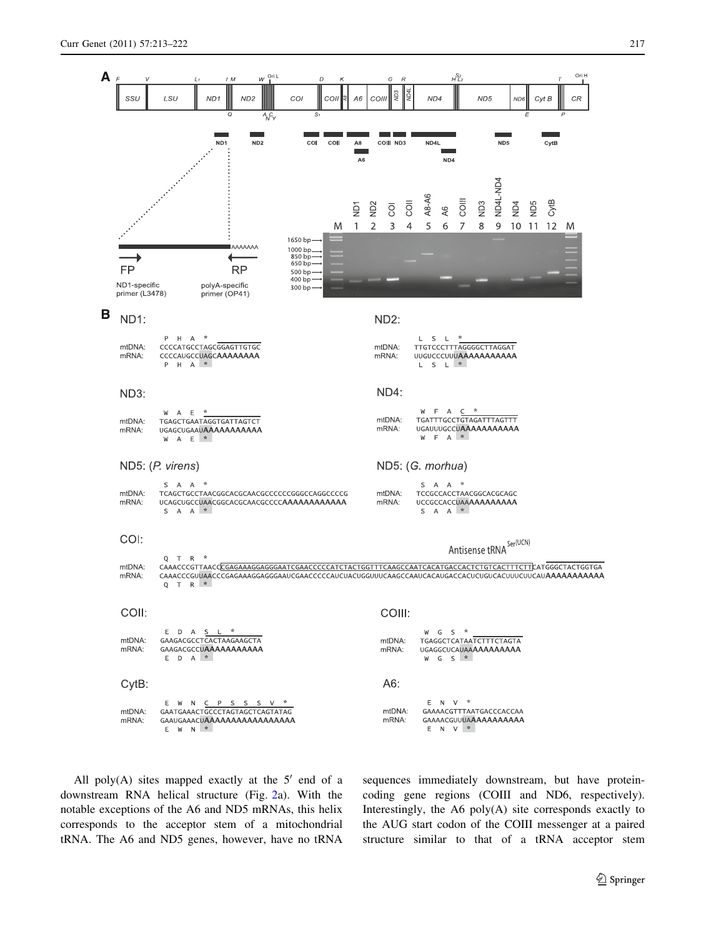

All poly(A) sites mapped exactly at the  $5'$  end of a downstream RNA helical structure (Fig. [2](#page-5-0)a). With the notable exceptions of the A6 and ND5 mRNAs, this helix corresponds to the acceptor stem of a mitochondrial tRNA. The A6 and ND5 genes, however, have no tRNA sequences immediately downstream, but have proteincoding gene regions (COIII and ND6, respectively). Interestingly, the  $A6$  poly $(A)$  site corresponds exactly to the AUG start codon of the COIII messenger at a paired structure similar to that of a tRNA acceptor stem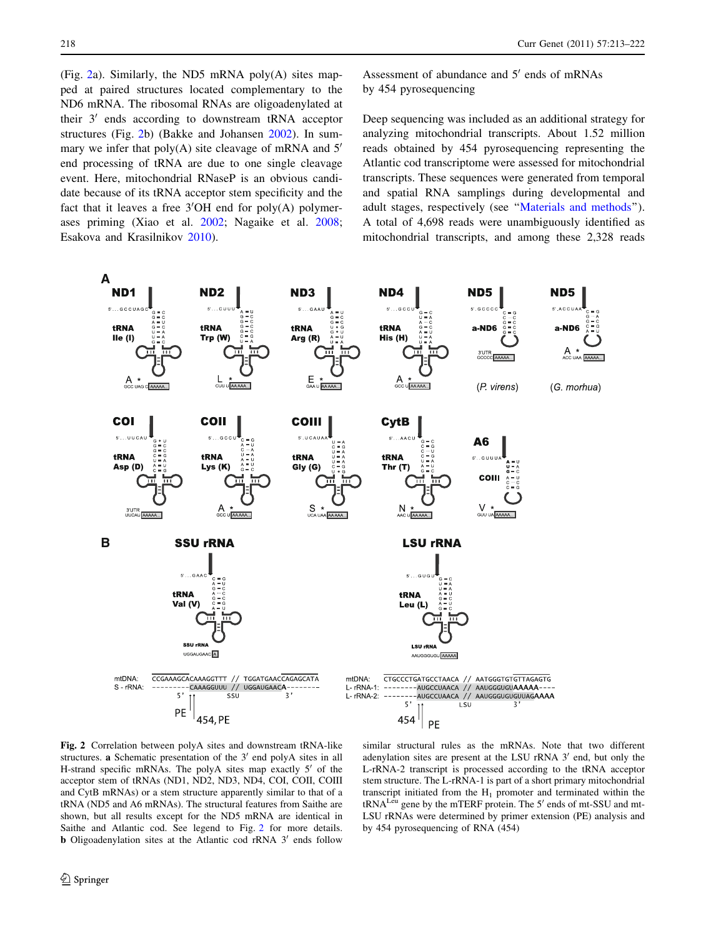<span id="page-5-0"></span>(Fig. 2a). Similarly, the ND5 mRNA poly $(A)$  sites mapped at paired structures located complementary to the ND6 mRNA. The ribosomal RNAs are oligoadenylated at their  $3'$  ends according to downstream tRNA acceptor structures (Fig. 2b) (Bakke and Johansen [2002\)](#page-8-0). In summary we infer that  $poly(A)$  site cleavage of mRNA and  $5'$ end processing of tRNA are due to one single cleavage event. Here, mitochondrial RNaseP is an obvious candidate because of its tRNA acceptor stem specificity and the fact that it leaves a free 3'OH end for poly(A) polymerases priming (Xiao et al. [2002](#page-9-0); Nagaike et al. [2008](#page-8-0); Esakova and Krasilnikov [2010\)](#page-8-0).

Assessment of abundance and  $5'$  ends of mRNAs by 454 pyrosequencing

Deep sequencing was included as an additional strategy for analyzing mitochondrial transcripts. About 1.52 million reads obtained by 454 pyrosequencing representing the Atlantic cod transcriptome were assessed for mitochondrial transcripts. These sequences were generated from temporal and spatial RNA samplings during developmental and adult stages, respectively (see ''[Materials and methods'](#page-1-0)'). A total of 4,698 reads were unambiguously identified as mitochondrial transcripts, and among these 2,328 reads



Fig. 2 Correlation between polyA sites and downstream tRNA-like structures. a Schematic presentation of the  $3'$  end polyA sites in all H-strand specific mRNAs. The polyA sites map exactly  $5'$  of the acceptor stem of tRNAs (ND1, ND2, ND3, ND4, COI, COII, COIII and CytB mRNAs) or a stem structure apparently similar to that of a tRNA (ND5 and A6 mRNAs). The structural features from Saithe are shown, but all results except for the ND5 mRNA are identical in Saithe and Atlantic cod. See legend to Fig. 2 for more details. **b** Oligoadenylation sites at the Atlantic cod  $rRNA$  3' ends follow

similar structural rules as the mRNAs. Note that two different adenylation sites are present at the LSU rRNA  $3'$  end, but only the L-rRNA-2 transcript is processed according to the tRNA acceptor stem structure. The L-rRNA-1 is part of a short primary mitochondrial transcript initiated from the  $H_1$  promoter and terminated within the  $tRNA<sup>Leu</sup>$  gene by the mTERF protein. The 5' ends of mt-SSU and mt-LSU rRNAs were determined by primer extension (PE) analysis and by 454 pyrosequencing of RNA (454)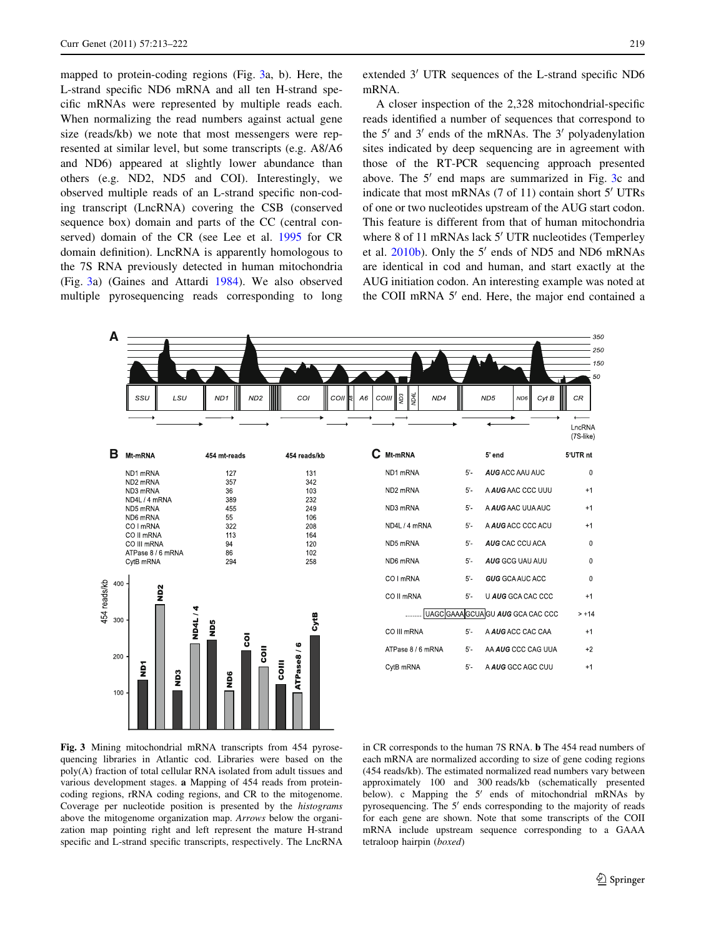<span id="page-6-0"></span>mapped to protein-coding regions (Fig. 3a, b). Here, the L-strand specific ND6 mRNA and all ten H-strand specific mRNAs were represented by multiple reads each. When normalizing the read numbers against actual gene size (reads/kb) we note that most messengers were represented at similar level, but some transcripts (e.g. A8/A6 and ND6) appeared at slightly lower abundance than others (e.g. ND2, ND5 and COI). Interestingly, we observed multiple reads of an L-strand specific non-coding transcript (LncRNA) covering the CSB (conserved sequence box) domain and parts of the CC (central conserved) domain of the CR (see Lee et al. [1995](#page-8-0) for CR domain definition). LncRNA is apparently homologous to the 7S RNA previously detected in human mitochondria (Fig. 3a) (Gaines and Attardi [1984](#page-8-0)). We also observed multiple pyrosequencing reads corresponding to long

A closer inspection of the 2,328 mitochondrial-specific reads identified a number of sequences that correspond to the  $5'$  and  $3'$  ends of the mRNAs. The  $3'$  polyadenylation sites indicated by deep sequencing are in agreement with those of the RT-PCR sequencing approach presented above. The  $5'$  end maps are summarized in Fig. 3c and indicate that most mRNAs  $(7$  of 11) contain short  $5'$  UTRs of one or two nucleotides upstream of the AUG start codon. This feature is different from that of human mitochondria where 8 of 11 mRNAs lack  $5'$  UTR nucleotides (Temperley et al.  $2010b$ ). Only the 5' ends of ND5 and ND6 mRNAs are identical in cod and human, and start exactly at the AUG initiation codon. An interesting example was noted at the COII mRNA  $5'$  end. Here, the major end contained a



Fig. 3 Mining mitochondrial mRNA transcripts from 454 pyrosequencing libraries in Atlantic cod. Libraries were based on the poly(A) fraction of total cellular RNA isolated from adult tissues and various development stages. a Mapping of 454 reads from proteincoding regions, rRNA coding regions, and CR to the mitogenome. Coverage per nucleotide position is presented by the histograms above the mitogenome organization map. Arrows below the organization map pointing right and left represent the mature H-strand specific and L-strand specific transcripts, respectively. The LncRNA

in CR corresponds to the human 7S RNA. b The 454 read numbers of each mRNA are normalized according to size of gene coding regions (454 reads/kb). The estimated normalized read numbers vary between approximately 100 and 300 reads/kb (schematically presented below). c Mapping the  $5'$  ends of mitochondrial mRNAs by pyrosequencing. The  $5'$  ends corresponding to the majority of reads for each gene are shown. Note that some transcripts of the COII mRNA include upstream sequence corresponding to a GAAA tetraloop hairpin (boxed)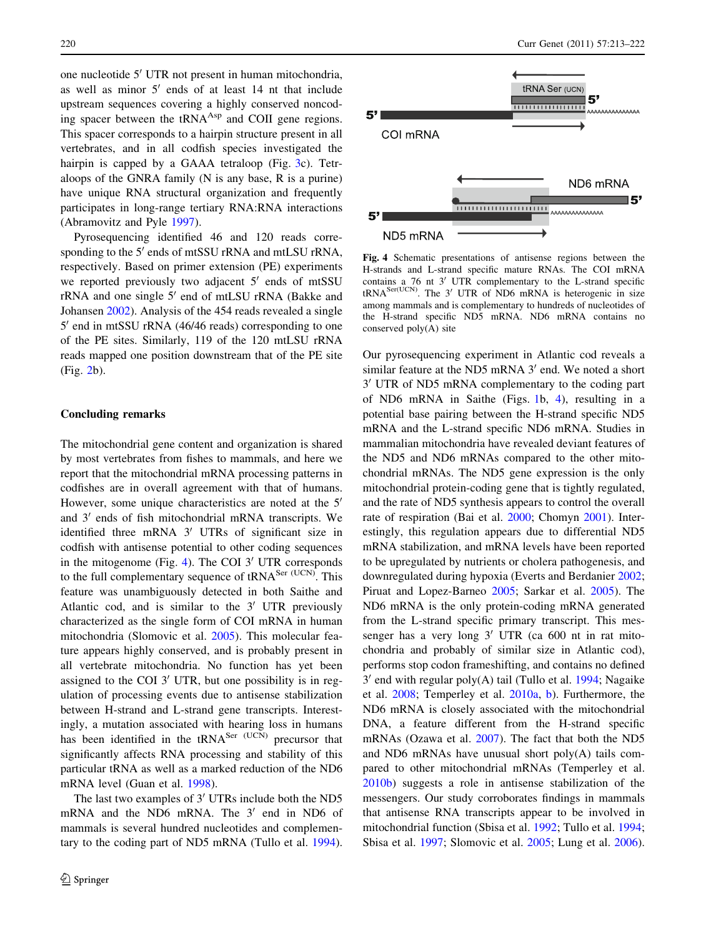one nucleotide 5<sup>'</sup> UTR not present in human mitochondria, as well as minor  $5'$  ends of at least 14 nt that include upstream sequences covering a highly conserved noncoding spacer between the tRNA<sup>Asp</sup> and COII gene regions. This spacer corresponds to a hairpin structure present in all vertebrates, and in all codfish species investigated the hairpin is capped by a GAAA tetraloop (Fig. [3c](#page-6-0)). Tetraloops of the GNRA family (N is any base, R is a purine) have unique RNA structural organization and frequently participates in long-range tertiary RNA:RNA interactions (Abramovitz and Pyle [1997](#page-8-0)).

Pyrosequencing identified 46 and 120 reads corresponding to the 5' ends of mtSSU rRNA and mtLSU rRNA, respectively. Based on primer extension (PE) experiments we reported previously two adjacent  $5'$  ends of mtSSU  $rRNA$  and one single  $5'$  end of mtLSU rRNA (Bakke and Johansen [2002\)](#page-8-0). Analysis of the 454 reads revealed a single  $5'$  end in mtSSU rRNA (46/46 reads) corresponding to one of the PE sites. Similarly, 119 of the 120 mtLSU rRNA reads mapped one position downstream that of the PE site (Fig. [2](#page-5-0)b).

## Concluding remarks

The mitochondrial gene content and organization is shared by most vertebrates from fishes to mammals, and here we report that the mitochondrial mRNA processing patterns in codfishes are in overall agreement with that of humans. However, some unique characteristics are noted at the  $5<sup>′</sup>$ and  $3'$  ends of fish mitochondrial mRNA transcripts. We identified three mRNA  $3'$  UTRs of significant size in codfish with antisense potential to other coding sequences in the mitogenome (Fig. 4). The COI  $3'$  UTR corresponds to the full complementary sequence of  $tRNA<sup>Ser (UCN)</sup>$ . This feature was unambiguously detected in both Saithe and Atlantic cod, and is similar to the  $3'$  UTR previously characterized as the single form of COI mRNA in human mitochondria (Slomovic et al. [2005](#page-9-0)). This molecular feature appears highly conserved, and is probably present in all vertebrate mitochondria. No function has yet been assigned to the COI  $3'$  UTR, but one possibility is in regulation of processing events due to antisense stabilization between H-strand and L-strand gene transcripts. Interestingly, a mutation associated with hearing loss in humans has been identified in the  $tRNA<sup>Ser (UCN)</sup>$  precursor that significantly affects RNA processing and stability of this particular tRNA as well as a marked reduction of the ND6 mRNA level (Guan et al. [1998\)](#page-8-0).

The last two examples of  $3'$  UTRs include both the ND5 mRNA and the ND6 mRNA. The  $3'$  end in ND6 of mammals is several hundred nucleotides and complementary to the coding part of ND5 mRNA (Tullo et al. [1994](#page-9-0)).



Fig. 4 Schematic presentations of antisense regions between the H-strands and L-strand specific mature RNAs. The COI mRNA contains a  $76$  nt  $3'$  UTR complementary to the L-strand specific  $tRNA<sub>SET</sub>(UCN)$ . The 3<sup>'</sup> UTR of ND6 mRNA is heterogenic in size among mammals and is complementary to hundreds of nucleotides of the H-strand specific ND5 mRNA. ND6 mRNA contains no conserved poly(A) site

Our pyrosequencing experiment in Atlantic cod reveals a similar feature at the ND5 mRNA  $3'$  end. We noted a short  $3'$  UTR of ND5 mRNA complementary to the coding part of ND6 mRNA in Saithe (Figs. [1b](#page-3-0), 4), resulting in a potential base pairing between the H-strand specific ND5 mRNA and the L-strand specific ND6 mRNA. Studies in mammalian mitochondria have revealed deviant features of the ND5 and ND6 mRNAs compared to the other mitochondrial mRNAs. The ND5 gene expression is the only mitochondrial protein-coding gene that is tightly regulated, and the rate of ND5 synthesis appears to control the overall rate of respiration (Bai et al. [2000](#page-8-0); Chomyn [2001\)](#page-8-0). Interestingly, this regulation appears due to differential ND5 mRNA stabilization, and mRNA levels have been reported to be upregulated by nutrients or cholera pathogenesis, and downregulated during hypoxia (Everts and Berdanier [2002](#page-8-0); Piruat and Lopez-Barneo [2005;](#page-9-0) Sarkar et al. [2005](#page-9-0)). The ND6 mRNA is the only protein-coding mRNA generated from the L-strand specific primary transcript. This messenger has a very long  $3'$  UTR (ca 600 nt in rat mitochondria and probably of similar size in Atlantic cod), performs stop codon frameshifting, and contains no defined  $3'$  end with regular poly(A) tail (Tullo et al. [1994](#page-9-0); Nagaike et al. [2008;](#page-8-0) Temperley et al. [2010a](#page-9-0), [b\)](#page-9-0). Furthermore, the ND6 mRNA is closely associated with the mitochondrial DNA, a feature different from the H-strand specific mRNAs (Ozawa et al. [2007](#page-9-0)). The fact that both the ND5 and ND6 mRNAs have unusual short poly(A) tails compared to other mitochondrial mRNAs (Temperley et al. [2010b](#page-9-0)) suggests a role in antisense stabilization of the messengers. Our study corroborates findings in mammals that antisense RNA transcripts appear to be involved in mitochondrial function (Sbisa et al. [1992](#page-9-0); Tullo et al. [1994](#page-9-0); Sbisa et al. [1997](#page-9-0); Slomovic et al. [2005;](#page-9-0) Lung et al. [2006](#page-8-0)).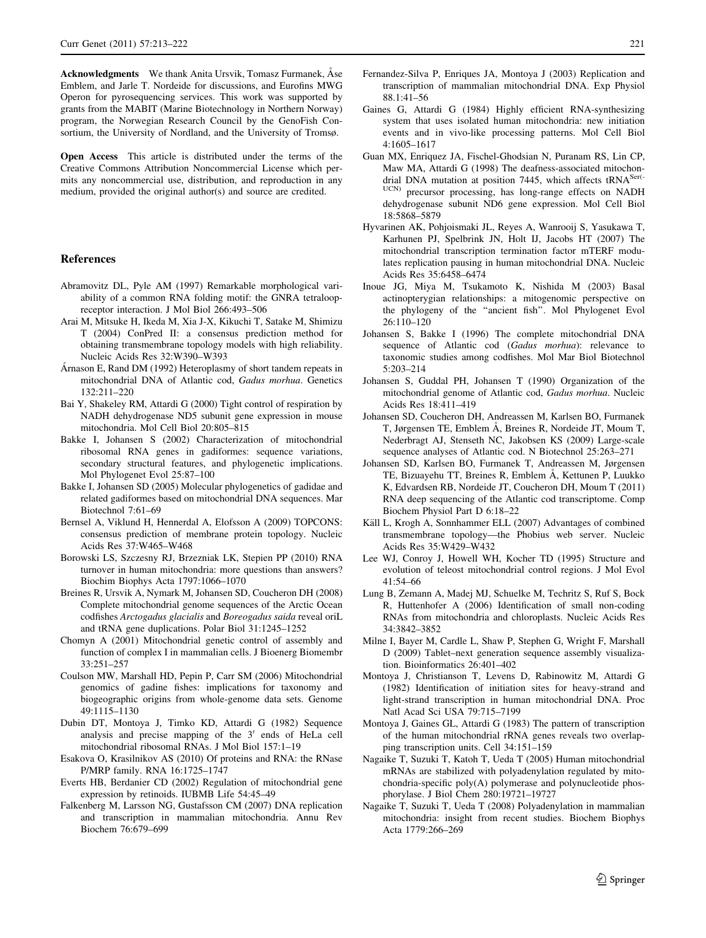<span id="page-8-0"></span>Acknowledgments We thank Anita Ursvik, Tomasz Furmanek, Åse Emblem, and Jarle T. Nordeide for discussions, and Eurofins MWG Operon for pyrosequencing services. This work was supported by grants from the MABIT (Marine Biotechnology in Northern Norway) program, the Norwegian Research Council by the GenoFish Consortium, the University of Nordland, and the University of Tromsø.

Open Access This article is distributed under the terms of the Creative Commons Attribution Noncommercial License which permits any noncommercial use, distribution, and reproduction in any medium, provided the original author(s) and source are credited.

#### References

- Abramovitz DL, Pyle AM (1997) Remarkable morphological variability of a common RNA folding motif: the GNRA tetraloopreceptor interaction. J Mol Biol 266:493–506
- Arai M, Mitsuke H, Ikeda M, Xia J-X, Kikuchi T, Satake M, Shimizu T (2004) ConPred II: a consensus prediction method for obtaining transmembrane topology models with high reliability. Nucleic Acids Res 32:W390–W393
- Árnason E, Rand DM (1992) Heteroplasmy of short tandem repeats in mitochondrial DNA of Atlantic cod, Gadus morhua. Genetics 132:211–220
- Bai Y, Shakeley RM, Attardi G (2000) Tight control of respiration by NADH dehydrogenase ND5 subunit gene expression in mouse mitochondria. Mol Cell Biol 20:805–815
- Bakke I, Johansen S (2002) Characterization of mitochondrial ribosomal RNA genes in gadiformes: sequence variations, secondary structural features, and phylogenetic implications. Mol Phylogenet Evol 25:87–100
- Bakke I, Johansen SD (2005) Molecular phylogenetics of gadidae and related gadiformes based on mitochondrial DNA sequences. Mar Biotechnol 7:61–69
- Bernsel A, Viklund H, Hennerdal A, Elofsson A (2009) TOPCONS: consensus prediction of membrane protein topology. Nucleic Acids Res 37:W465–W468
- Borowski LS, Szczesny RJ, Brzezniak LK, Stepien PP (2010) RNA turnover in human mitochondria: more questions than answers? Biochim Biophys Acta 1797:1066–1070
- Breines R, Ursvik A, Nymark M, Johansen SD, Coucheron DH (2008) Complete mitochondrial genome sequences of the Arctic Ocean codfishes Arctogadus glacialis and Boreogadus saida reveal oriL and tRNA gene duplications. Polar Biol 31:1245–1252
- Chomyn A (2001) Mitochondrial genetic control of assembly and function of complex I in mammalian cells. J Bioenerg Biomembr 33:251–257
- Coulson MW, Marshall HD, Pepin P, Carr SM (2006) Mitochondrial genomics of gadine fishes: implications for taxonomy and biogeographic origins from whole-genome data sets. Genome 49:1115–1130
- Dubin DT, Montoya J, Timko KD, Attardi G (1982) Sequence analysis and precise mapping of the  $3'$  ends of HeLa cell mitochondrial ribosomal RNAs. J Mol Biol 157:1–19
- Esakova O, Krasilnikov AS (2010) Of proteins and RNA: the RNase P/MRP family. RNA 16:1725–1747
- Everts HB, Berdanier CD (2002) Regulation of mitochondrial gene expression by retinoids. IUBMB Life 54:45–49
- Falkenberg M, Larsson NG, Gustafsson CM (2007) DNA replication and transcription in mammalian mitochondria. Annu Rev Biochem 76:679–699
- Fernandez-Silva P, Enriques JA, Montoya J (2003) Replication and transcription of mammalian mitochondrial DNA. Exp Physiol 88.1:41–56
- Gaines G, Attardi G (1984) Highly efficient RNA-synthesizing system that uses isolated human mitochondria: new initiation events and in vivo-like processing patterns. Mol Cell Biol 4:1605–1617
- Guan MX, Enriquez JA, Fischel-Ghodsian N, Puranam RS, Lin CP, Maw MA, Attardi G (1998) The deafness-associated mitochondrial DNA mutation at position 7445, which affects tRNA<sup>Ser(-</sup> UCN) precursor processing, has long-range effects on NADH dehydrogenase subunit ND6 gene expression. Mol Cell Biol 18:5868–5879
- Hyvarinen AK, Pohjoismaki JL, Reyes A, Wanrooij S, Yasukawa T, Karhunen PJ, Spelbrink JN, Holt IJ, Jacobs HT (2007) The mitochondrial transcription termination factor mTERF modulates replication pausing in human mitochondrial DNA. Nucleic Acids Res 35:6458–6474
- Inoue JG, Miya M, Tsukamoto K, Nishida M (2003) Basal actinopterygian relationships: a mitogenomic perspective on the phylogeny of the ''ancient fish''. Mol Phylogenet Evol 26:110–120
- Johansen S, Bakke I (1996) The complete mitochondrial DNA sequence of Atlantic cod (Gadus morhua): relevance to taxonomic studies among codfishes. Mol Mar Biol Biotechnol 5:203–214
- Johansen S, Guddal PH, Johansen T (1990) Organization of the mitochondrial genome of Atlantic cod, Gadus morhua. Nucleic Acids Res 18:411–419
- Johansen SD, Coucheron DH, Andreassen M, Karlsen BO, Furmanek T, Jørgensen TE, Emblem Å, Breines R, Nordeide JT, Moum T, Nederbragt AJ, Stenseth NC, Jakobsen KS (2009) Large-scale sequence analyses of Atlantic cod. N Biotechnol 25:263–271
- Johansen SD, Karlsen BO, Furmanek T, Andreassen M, Jørgensen TE, Bizuayehu TT, Breines R, Emblem A, Kettunen P, Luukko K, Edvardsen RB, Nordeide JT, Coucheron DH, Moum T (2011) RNA deep sequencing of the Atlantic cod transcriptome. Comp Biochem Physiol Part D 6:18–22
- Käll L, Krogh A, Sonnhammer ELL (2007) Advantages of combined transmembrane topology—the Phobius web server. Nucleic Acids Res 35:W429–W432
- Lee WJ, Conroy J, Howell WH, Kocher TD (1995) Structure and evolution of teleost mitochondrial control regions. J Mol Evol 41:54–66
- Lung B, Zemann A, Madej MJ, Schuelke M, Techritz S, Ruf S, Bock R, Huttenhofer A (2006) Identification of small non-coding RNAs from mitochondria and chloroplasts. Nucleic Acids Res 34:3842–3852
- Milne I, Bayer M, Cardle L, Shaw P, Stephen G, Wright F, Marshall D (2009) Tablet–next generation sequence assembly visualization. Bioinformatics 26:401–402
- Montoya J, Christianson T, Levens D, Rabinowitz M, Attardi G (1982) Identification of initiation sites for heavy-strand and light-strand transcription in human mitochondrial DNA. Proc Natl Acad Sci USA 79:715–7199
- Montoya J, Gaines GL, Attardi G (1983) The pattern of transcription of the human mitochondrial rRNA genes reveals two overlapping transcription units. Cell 34:151–159
- Nagaike T, Suzuki T, Katoh T, Ueda T (2005) Human mitochondrial mRNAs are stabilized with polyadenylation regulated by mitochondria-specific poly(A) polymerase and polynucleotide phosphorylase. J Biol Chem 280:19721–19727
- Nagaike T, Suzuki T, Ueda T (2008) Polyadenylation in mammalian mitochondria: insight from recent studies. Biochem Biophys Acta 1779:266–269